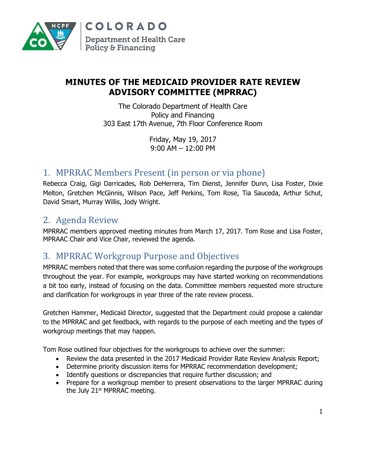

## **MINUTES OF THE MEDICAID PROVIDER RATE REVIEW ADVISORY COMMITTEE (MPRRAC)**

The Colorado Department of Health Care Policy and Financing 303 East 17th Avenue, 7th Floor Conference Room

> Friday, May 19, 2017 9:00 AM – 12:00 PM

## 1. MPRRAC Members Present (in person or via phone)

Rebecca Craig, Gigi Darricades, Rob DeHerrera, Tim Dienst, Jennifer Dunn, Lisa Foster, Dixie Melton, Gretchen McGinnis, Wilson Pace, Jeff Perkins, Tom Rose, Tia Sauceda, Arthur Schut, David Smart, Murray Willis, Jody Wright.

## 2. Agenda Review

MPRRAC members approved meeting minutes from March 17, 2017. Tom Rose and Lisa Foster, MPRAAC Chair and Vice Chair, reviewed the agenda.

## 3. MPRRAC Workgroup Purpose and Objectives

MPRRAC members noted that there was some confusion regarding the purpose of the workgroups throughout the year. For example, workgroups may have started working on recommendations a bit too early, instead of focusing on the data. Committee members requested more structure and clarification for workgroups in year three of the rate review process.

Gretchen Hammer, Medicaid Director, suggested that the Department could propose a calendar to the MPRRAC and get feedback, with regards to the purpose of each meeting and the types of workgroup meetings that may happen.

Tom Rose outlined four objectives for the workgroups to achieve over the summer:

- Review the data presented in the 2017 Medicaid Provider Rate Review Analysis Report;
- Determine priority discussion items for MPRRAC recommendation development;
- Identify questions or discrepancies that require further discussion; and
- Prepare for a workgroup member to present observations to the larger MPRRAC during the July 21<sup>st</sup> MPRRAC meeting.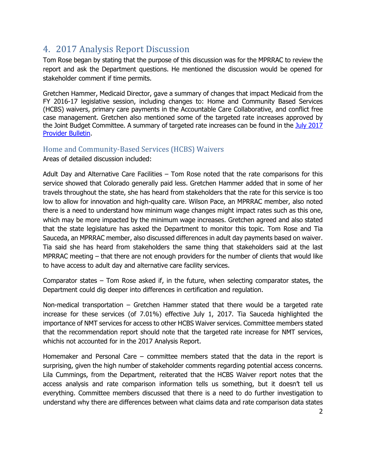# 4. 2017 Analysis Report Discussion

Tom Rose began by stating that the purpose of this discussion was for the MPRRAC to review the report and ask the Department questions. He mentioned the discussion would be opened for stakeholder comment if time permits.

Gretchen Hammer, Medicaid Director, gave a summary of changes that impact Medicaid from the FY 2016-17 legislative session, including changes to: Home and Community Based Services (HCBS) waivers, primary care payments in the Accountable Care Collaborative, and conflict free case management. Gretchen also mentioned some of the targeted rate increases approved by the Joint Budget Committee. A summary of targeted rate increases can be found in the [July 2017](https://www.colorado.gov/pacific/sites/default/files/Bulletin_0717_B1700400.pdf)  [Provider Bulletin.](https://www.colorado.gov/pacific/sites/default/files/Bulletin_0717_B1700400.pdf)

### Home and Community-Based Services (HCBS) Waivers

Areas of detailed discussion included:

Adult Day and Alternative Care Facilities – Tom Rose noted that the rate comparisons for this service showed that Colorado generally paid less. Gretchen Hammer added that in some of her travels throughout the state, she has heard from stakeholders that the rate for this service is too low to allow for innovation and high-quality care. Wilson Pace, an MPRRAC member, also noted there is a need to understand how minimum wage changes might impact rates such as this one, which may be more impacted by the minimum wage increases. Gretchen agreed and also stated that the state legislature has asked the Department to monitor this topic. Tom Rose and Tia Sauceda, an MPRRAC member, also discussed differences in adult day payments based on waiver. Tia said she has heard from stakeholders the same thing that stakeholders said at the last MPRRAC meeting – that there are not enough providers for the number of clients that would like to have access to adult day and alternative care facility services.

Comparator states – Tom Rose asked if, in the future, when selecting comparator states, the Department could dig deeper into differences in certification and regulation.

Non-medical transportation – Gretchen Hammer stated that there would be a targeted rate increase for these services (of 7.01%) effective July 1, 2017. Tia Sauceda highlighted the importance of NMT services for access to other HCBS Waiver services. Committee members stated that the recommendation report should note that the targeted rate increase for NMT services, whichis not accounted for in the 2017 Analysis Report.

Homemaker and Personal Care – committee members stated that the data in the report is surprising, given the high number of stakeholder comments regarding potential access concerns. Lila Cummings, from the Department, reiterated that the HCBS Waiver report notes that the access analysis and rate comparison information tells us something, but it doesn't tell us everything. Committee members discussed that there is a need to do further investigation to understand why there are differences between what claims data and rate comparison data states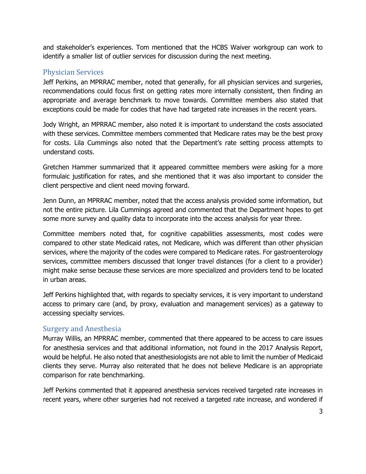and stakeholder's experiences. Tom mentioned that the HCBS Waiver workgroup can work to identify a smaller list of outlier services for discussion during the next meeting.

#### Physician Services

Jeff Perkins, an MPRRAC member, noted that generally, for all physician services and surgeries, recommendations could focus first on getting rates more internally consistent, then finding an appropriate and average benchmark to move towards. Committee members also stated that exceptions could be made for codes that have had targeted rate increases in the recent years.

Jody Wright, an MPRRAC member, also noted it is important to understand the costs associated with these services. Committee members commented that Medicare rates may be the best proxy for costs. Lila Cummings also noted that the Department's rate setting process attempts to understand costs.

Gretchen Hammer summarized that it appeared committee members were asking for a more formulaic justification for rates, and she mentioned that it was also important to consider the client perspective and client need moving forward.

Jenn Dunn, an MPRRAC member, noted that the access analysis provided some information, but not the entire picture. Lila Cummings agreed and commented that the Department hopes to get some more survey and quality data to incorporate into the access analysis for year three.

Committee members noted that, for cognitive capabilities assessments, most codes were compared to other state Medicaid rates, not Medicare, which was different than other physician services, where the majority of the codes were compared to Medicare rates. For gastroenterology services, committee members discussed that longer travel distances (for a client to a provider) might make sense because these services are more specialized and providers tend to be located in urban areas.

Jeff Perkins highlighted that, with regards to specialty services, it is very important to understand access to primary care (and, by proxy, evaluation and management services) as a gateway to accessing specialty services.

### Surgery and Anesthesia

Murray Willis, an MPRRAC member, commented that there appeared to be access to care issues for anesthesia services and that additional information, not found in the 2017 Analysis Report, would be helpful. He also noted that anesthesiologists are not able to limit the number of Medicaid clients they serve. Murray also reiterated that he does not believe Medicare is an appropriate comparison for rate benchmarking.

Jeff Perkins commented that it appeared anesthesia services received targeted rate increases in recent years, where other surgeries had not received a targeted rate increase, and wondered if